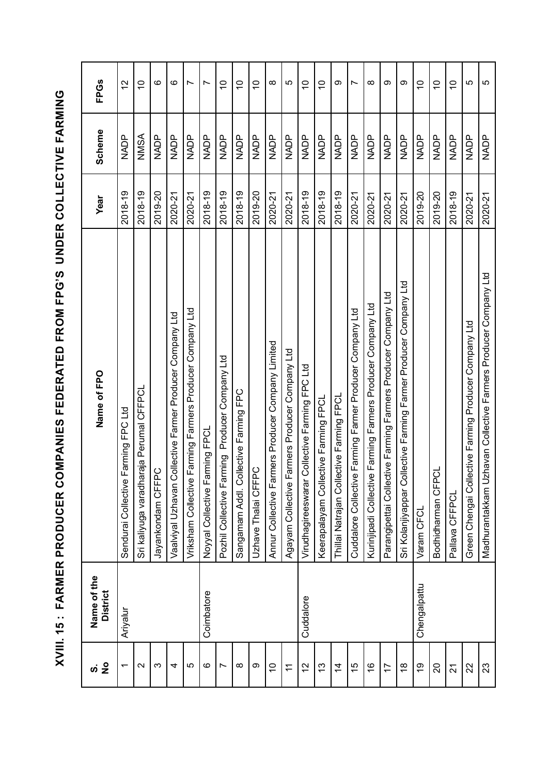| $\frac{1}{2}$<br>ທ່ | Name of the<br><b>District</b> | Name of FPO                                                      | Year    | Scheme      | <b>FPGs</b>    |
|---------------------|--------------------------------|------------------------------------------------------------------|---------|-------------|----------------|
| ↽                   | Ariyalur                       | Sendurai Collective Farming FPC Ltd                              | 2018-19 | NADP        | $\overline{c}$ |
| $\mathbf{\sim}$     |                                | raja Perumal CFFPCL<br>Sri kaliyuga varadha                      | 2018-19 | NMSA        | $\overline{C}$ |
| ო                   |                                | ပ<br>Jayankondam CFFP                                            | 2019-20 | <b>NADP</b> | ဖ              |
| 4                   |                                | Vaalviyal Uzhavan Collective Farmer Producer Company Ltd         | 2020-21 | NADP        | ဖ              |
| 5                   |                                | Farming Farmers Producer Company Ltd<br>Vriksham Collective      | 2020-21 | <b>NADP</b> | $\sim$         |
| ဖ                   | Coimbatore                     | rming FPCL<br>Noyyal Collective Far                              | 2018-19 | <b>NADP</b> | $\overline{ }$ |
|                     |                                | ming Producer Company Ltd<br>Pozhil Collective Far               | 2018-19 | <b>NADP</b> | $\overline{C}$ |
| ∞                   |                                | Sangamam Addl. Collective Farming FPC                            | 2018-19 | <b>NADP</b> | $\overline{C}$ |
| တ                   |                                | $\circ$<br>Uzhave Thalai CFFP                                    | 2019-20 | NADP        | $\overline{C}$ |
| $\tilde{0}$         |                                | Annur Collective Farmers Producer Company Limited                | 2020-21 | NADP        | $\infty$       |
| $\tilde{\tau}$      |                                | Agayam Collective Farmers Producer Company Ltd                   | 2020-21 | NADP        | 5              |
| $\tilde{c}$         | Cuddalore                      | Collective Farming FPC Ltd<br>Virudhagireeswarar                 | 2018-19 | <b>NADP</b> | $\overline{C}$ |
| $\frac{3}{2}$       |                                | Keerapalayam Collective Farming FPCL                             | 2018-19 | <b>NADP</b> | $\overline{C}$ |
| $\overline{4}$      |                                | Thillai Natrajan Collective Farming FPCL                         | 2018-19 | <b>NADP</b> | ω              |
| 15                  |                                | Farming Farmer Producer Company Ltd<br>Cuddalore Collective      | 2020-21 | <b>NADP</b> | Ľ              |
| $\frac{6}{1}$       |                                | Farming Farmers Producer Company Ltd<br>Kurinjipadi Collective   | 2020-21 | <b>NADP</b> | $\infty$       |
| 17                  |                                | Parangipettai Collective Farming Farmers Producer Company Ltd    | 2020-21 | <b>NADP</b> | တ              |
| $\frac{8}{1}$       |                                | Sri Kolanjiyappar Collective Farming Farmer Producer Company Ltd | 2020-21 | NADP        | တ              |
| 6r                  | Chengalpattu                   | Varam CFCL                                                       | 2019-20 | NADP        | $\overline{C}$ |
| 20                  |                                | Bodhidharman CFPCL                                               | 2019-20 | NADP        | $\overline{C}$ |
| 21                  |                                | Pallava CFFPCL                                                   | 2018-19 | <b>NADP</b> | $\overline{C}$ |
| $\mathbf{z}$        |                                | Green Chengai Collective Farming Producer Company Ltd            | 2020-21 | <b>NADP</b> | 5              |
| 23                  |                                | Madhurantakkam Uzhavan Collective Farmers Producer Company Ltd   | 2020-21 | <b>NADP</b> | 5              |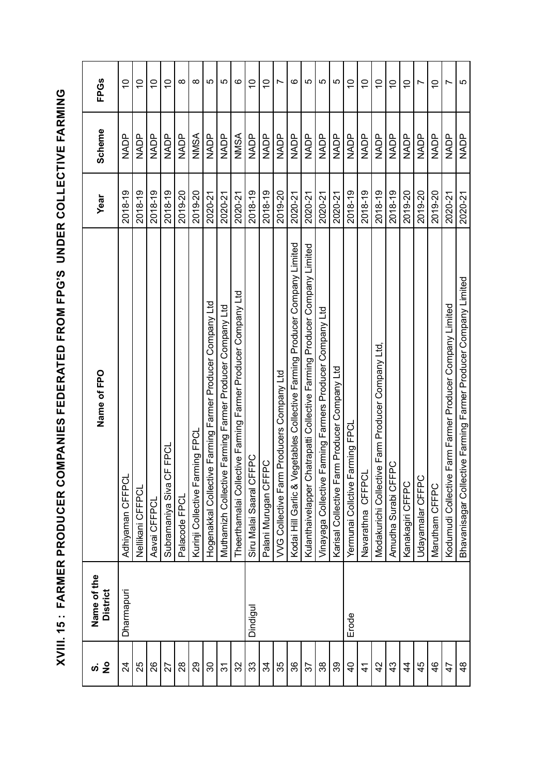| $\frac{1}{2}$<br>vj | Name of the<br><b>District</b> | Name of FPO                                                                     | Year    | Scheme      | <b>FPGs</b>    |
|---------------------|--------------------------------|---------------------------------------------------------------------------------|---------|-------------|----------------|
| 24                  | Dharmapuri                     | Adhiyaman CFFPCL                                                                | 2018-19 | NADP        | $\overline{0}$ |
| 25                  |                                | Nellikani CFFPC                                                                 | 2018-19 | NADP        | $\overline{C}$ |
| 88                  |                                | Aavai CFFPCI                                                                    | 2018-19 | <b>NADP</b> | $\overline{C}$ |
| 27                  |                                | <b>FFPCL</b><br>Subramaniya Siva C                                              | 2018-19 | <b>NADP</b> | $\overline{C}$ |
| $^{8}$              |                                | Palacode FPCI                                                                   | 2019-20 | NADP        | ∞              |
| 29                  |                                | Kurinji Collective Farming FPCL                                                 | 2019-20 | NMSA        | $\infty$       |
| వి                  |                                | e Farming Farmer Producer Company Ltd<br>Hogenakkal Collectiv                   | 2020-21 | <b>NADP</b> | LO             |
| 5                   |                                | Muthamizh Collective Farming Farmer Producer Company Ltd                        | 2020-21 | <b>NADP</b> | LO             |
| 32                  |                                | Theerthamalai Collective Farming Farmer Producer Company Ltd                    | 2020-21 | NMSA        | ဖ              |
| 33                  | Dindigul                       | FPC<br>Siru Malai Saaral CF                                                     | 2018-19 | <b>NADP</b> | $\overline{C}$ |
| 34                  |                                | Palani Murugan CFFPC                                                            | 2018-19 | <b>NADP</b> | $\overline{C}$ |
| 35                  |                                | Producers Company Ltd<br>VVG Collective Farm                                    | 2019-20 | <b>NADP</b> | Ľ              |
| 36                  |                                | egetables Collective Farming Producer Company Limited<br>Kodai Hill Garlic & Ve | 2020-21 | <b>NADP</b> | ဖ              |
| 57                  |                                | hatrapatti Collective Farming Producer Company Limited<br>Kulanthaivelapper Cl  | 2020-21 |             | LO             |
| 38                  |                                | Farming Farmers Producer Company Ltd<br>Vinayaga Collective                     | 2020-21 | NADP        | 5              |
| 39                  |                                | Karisal Collective Farm Producer Company Ltd                                    | 2020-21 | <b>NADP</b> | 5              |
| $\overline{a}$      | Erode                          | arming FPC<br>Yermunai Collctive F                                              | 2018-19 |             | $\overline{C}$ |
| $\vec{4}$           |                                | Navarathna CFFPC                                                                | 2018-19 | NADP<br>Z   | $\overline{C}$ |
| 42                  |                                | Modakurichi Collective Farm Producer Company Ltd                                | 2018-19 | <b>NADP</b> | $\overline{C}$ |
| $\frac{3}{4}$       |                                | pC<br>Amudha Surabi CFF                                                         | 2018-19 | <b>NADP</b> | $\overline{C}$ |
| $\frac{4}{3}$       |                                | Kanakagiri CFFPC                                                                | 2019-20 | <b>NADP</b> | $\tilde{=}$    |
| 45                  |                                | Udayamalar CFFPC                                                                | 2019-20 | <b>NADP</b> | Ľ              |
| $\frac{6}{4}$       |                                | Marutham CFFPC                                                                  | 2019-20 | <b>NADP</b> | $\tilde{c}$    |
| 47                  |                                | Farm Farmer Producer Company Limited<br>Kodumudi Collective                     | 2020-21 | NADP        | Ľ              |
| $\frac{8}{4}$       |                                | Bhavanisagar Collective Farming Farmer Producer Company Limited                 | 2020-21 | <b>NADP</b> | 5              |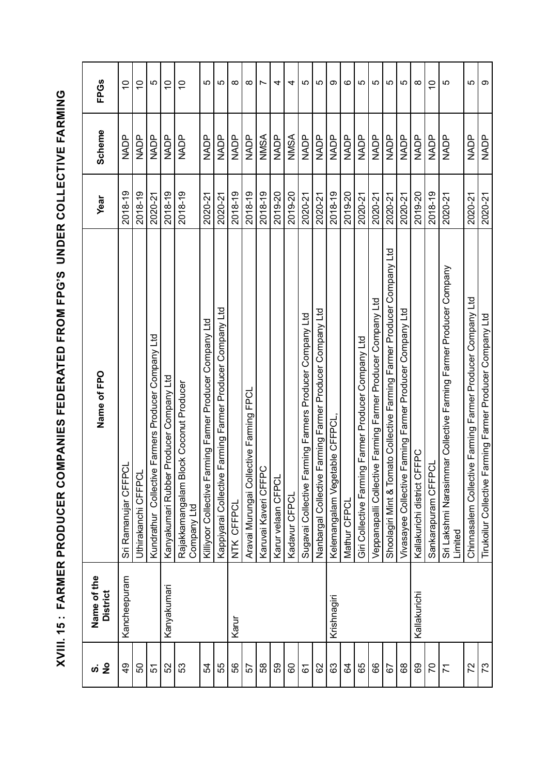| Name of the<br><b>District</b> | Name of FPO                                                                  | Year    | Scheme      | <b>FPGs</b>              |
|--------------------------------|------------------------------------------------------------------------------|---------|-------------|--------------------------|
| Kancheepuram                   | ಕ್ತ<br>Sri Ramanujar CFFP                                                    | 2018-19 | NADP        | $\overline{C}$           |
|                                | Uthirakanchi CFFPC                                                           | 2018-19 | NADP        | $\tilde{0}$              |
|                                | e Farmers Producer Company Ltd<br>Kundrathur Collectiv                       | 2020-21 | NADP        | 5                        |
| Kanyakumari                    | Kanyakumari Rubber Producer Company Ltd                                      | 2018-19 | NADP        | $\overline{C}$           |
|                                | lock Coconut Producer<br>Rajakkamangalam B<br>Company Ltd                    | 2018-19 | NADP        | $\overline{C}$           |
|                                | Killiyoor Collective Farming Farmer Producer Company Ltd                     | 2020-21 | <b>NADP</b> | LO                       |
|                                | Kappiyarai Collective Farming Farmer Producer Company Ltd                    | 2020-21 | <b>NADP</b> | ပ                        |
|                                | NTK CFFPCL                                                                   | 2018-19 | <b>NADP</b> | $\infty$                 |
|                                | lective Farming FPCL<br>Aravai Murungai Coll                                 | 2018-19 | NADP        | $\infty$                 |
|                                | Karuvai Kaveri CFFPC                                                         | 2018-19 | NMSA        | $\overline{\phantom{0}}$ |
|                                | Karur velaan CFPCL                                                           | 2019-20 | <b>NADP</b> | 4                        |
|                                | Kadavur CFPCL                                                                | 2019-20 | NMSA        | 4                        |
|                                | arming Farmers Producer Company Ltd<br>Sugavai Collective F                  | 2020-21 | <b>NADP</b> | 5                        |
|                                | Farming Farmer Producer Company Ltd<br>Nanbargal Collective                  | 2020-21 | NADP        | မာ                       |
|                                | Kelemangalam Vegetable CFFPCL                                                | 2018-19 | <b>NADP</b> | თ                        |
|                                | Mathur CFPCL                                                                 | 2019-20 | <b>NADP</b> | $\circ$                  |
|                                | ng Farmer Producer Company Ltd<br>Giri Collective Farmi                      | 2020-21 | NADP        | 5                        |
|                                | Veppanapalli Collective Farming Farmer Producer Company Ltd                  | 2020-21 | <b>NADP</b> | LO                       |
|                                | Shoolagiri Mint & Tomato Collective Farming Farmer Producer Company Ltd      | 2020-21 | NADP        | 5                        |
|                                | Farming Farmer Producer Company Ltd<br>Vivasayee Collective                  | 2020-21 | <b>NADP</b> | 5                        |
| Kallakurichi                   | <b>CEFPC</b><br>Kallakurichi district C                                      | 2019-20 | <b>NADP</b> | $\infty$                 |
|                                | Sankarapuram CFFPCL                                                          | 2018-19 | <b>NADP</b> | $\overline{C}$           |
|                                | Sri Lakshmi Narasimmar Collective Farming Farmer Producer Company<br>Limited | 2020-21 | NADP        | 5                        |
|                                | Chinnasalem Collective Farming Famer Producer Company Ltd                    | 2020-21 | <b>NADP</b> | 5                        |
|                                | Farming Farmer Producer Company Ltd<br>Tirukoilur Collective                 | 2020-21 | NADP        | တ                        |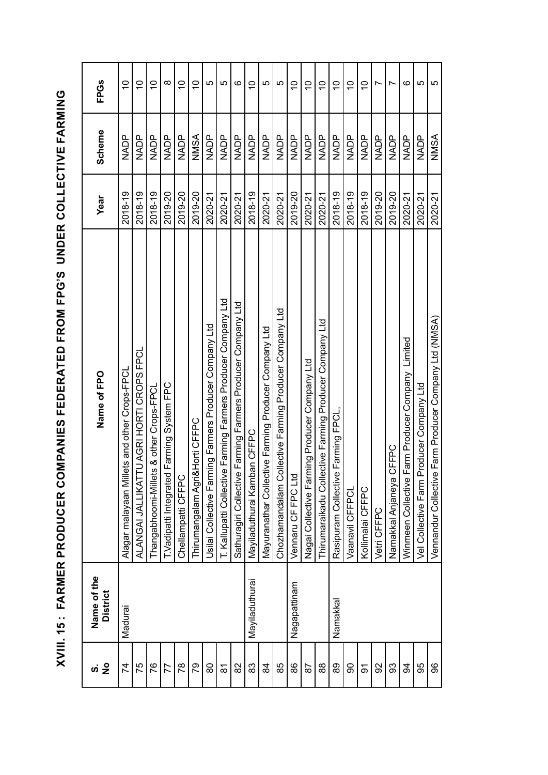| $\frac{1}{2}$<br><u>ທ່</u> | Name of the<br><b>District</b> | Name of FPO                                                    | Year    | Scheme      | <b>FPGs</b>    |
|----------------------------|--------------------------------|----------------------------------------------------------------|---------|-------------|----------------|
| 74                         | Madurai                        | ets and other Crops-FPCL<br>Alagar malayaan Mill               | 2018-19 | NADP        | $\overline{C}$ |
| 75                         |                                | TU AGRI HORTI CROPS FPCL<br>ALANGAI JALLIKAT                   | 2018-19 | NADP<br>Z   | $\overline{0}$ |
| 76                         |                                | Thangabhoomi-Millets & other Crops-FPCL                        | 2018-19 | <b>NADP</b> | $\overline{0}$ |
| 77                         |                                | T. Vadipatti Integrated Farming System FPC                     | 2019-20 |             | ∞              |
| 78                         |                                | Chellampatti CFFPC                                             | 2019-20 | <b>NADP</b> | $\overline{0}$ |
| 79                         |                                | Thirumangalam Agri&Horti CFFPC                                 | 2019-20 | NMSA        | $\overline{a}$ |
| 80                         |                                | ning Farmers Producer Company Ltd<br>Usilai Collective Farn    | 2020-21 | <b>NADP</b> | 5              |
| 81                         |                                | T. Kallupatti Collective Farming Farmers Producer Company Ltd  | 2020-21 | <b>NADP</b> | LO             |
| 82                         |                                | Farming Farmers Producer Company Ltd<br>Sathuragiri Collective | 2020-21 | <b>NADP</b> | ဖ              |
| 83                         | Mayiladuthurai                 | Mayiladuthurai Kamban CFFPC                                    | 2018-19 | <b>NADP</b> | $\overline{C}$ |
| \$                         |                                | Mayuranathar Collective Farming Producer Company Ltd           | 2020-21 | <b>NADP</b> | 5              |
| 85                         |                                | ollective Farming Producer Company Ltd<br>Chozhamandalam Co    | 2020-21 | NADP        | 5              |
| 86                         | Nagapattinam                   | Vennaru CF FPC Ltd                                             | 2019-20 | <b>NADP</b> | $\overline{C}$ |
| 87                         |                                | Nagai Collective Farming Producer Company Ltd                  | 2020-21 | <b>NADP</b> | $\overline{C}$ |
| 88                         |                                | Thirumaraikadu Collective Farming Producer Company Ltd         | 2020-21 | <b>NADP</b> | $\frac{1}{2}$  |
| 89                         | Namakkal                       | Farming FPCL<br>Rasipuram Collective                           | 2018-19 | NADP        | $\overline{C}$ |
| ဓ                          |                                | Vaanavil CFFPCL                                                | 2018-19 | <b>NADP</b> | $\overline{C}$ |
| $\overline{5}$             |                                | Kollimalai CFFPC                                               | 2018-19 | NADP        | $\overline{C}$ |
| 92                         |                                | Vetri CFFPC                                                    | 2019-20 | <b>NADP</b> | N              |
| 33                         |                                | CFFPC<br>Namakkal Anjaneya                                     | 2019-20 | <b>NADP</b> | N              |
| 3                          |                                | Farm Producer Company Limited<br>Winmeen Collective            | 2020-21 | NADP        | ဖ              |
| 95                         |                                | Vel Collective Farm Producer Company Ltd                       | 2020-21 | <b>NADP</b> | 5              |
| 96                         |                                | Farm Producer Company Ltd (NMSA)<br>Vennandur Collective       | 2020-21 | NSNN        | ယ              |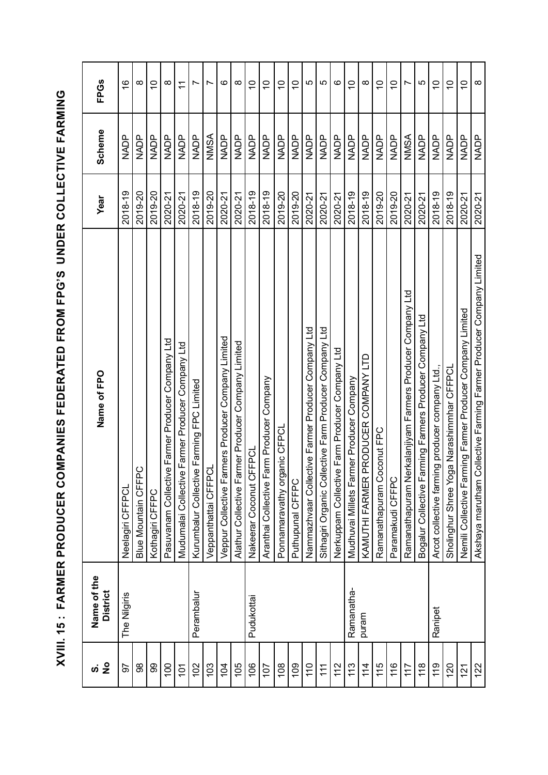| $\frac{1}{2}$<br><u>ທ່</u> | Name of the<br><b>District</b> | Name of FPO                                                            | Year    | Scheme      | <b>FPGs</b>    |
|----------------------------|--------------------------------|------------------------------------------------------------------------|---------|-------------|----------------|
| 50                         | The Nilgiris                   | Neelagiri CFFPCL                                                       | 2018-19 | NADP        | $\frac{6}{5}$  |
| 98                         |                                | Blue Mountain CFFPC                                                    | 2019-20 | <b>NADP</b> | $\infty$       |
| 8                          |                                | Kothagiri CFFPC                                                        | 2019-20 | <b>NADP</b> | $\tilde{a}$    |
| 100                        |                                | Pasuvanam Collective Farmer Producer Company Ltd                       | 2020-21 | <b>ROMN</b> | $\infty$       |
| 101                        |                                | Mudumalai Collective Farmer Producer Company Ltd                       | 2020-21 | <b>NADP</b> | $\mathcal{L}$  |
| 102                        | Perambalur                     | e Farming FPC Limited<br>Kurumbalur Collectiv                          | 2018-19 | NADP        |                |
| 103                        |                                | Veppanthattai CFFPCL                                                   | 2019-20 | NMSA        | r              |
| 104                        |                                | Veppur Collective Farmers Producer Company Limited                     | 2020-21 | <b>NADP</b> | ဖ              |
| 105                        |                                | Alathur Collective Farmer Producer Company Limited                     | 2020-21 | <b>NADP</b> | $\infty$       |
| 106                        | Pudukottai                     | Nakeerar Coconut CFFPCI                                                | 2018-19 | <b>NADP</b> | $\tilde{C}$    |
| 107                        |                                | arm Producer Company<br>Aranthai Collective F                          | 2018-19 | NADP        | $\overline{C}$ |
| 108                        |                                | anic CFPCL<br>Ponnamaravathy org                                       | 2019-20 | NADP        | $\overline{C}$ |
| 109                        |                                | Puthupunal CFFPC                                                       | 2019-20 | <b>NADP</b> | $\overline{C}$ |
| 110                        |                                | Nammazhvaar Collective Farmer Producer Company Ltd                     | 2020-21 | NADP        | 5              |
| 11                         |                                | llective Farm Producer Company Ltd<br>Sithagiri Organic Col            | 2020-21 | <b>NADP</b> | 5              |
| 112                        |                                | e Farm Producer Company Ltd<br>Nerkuppam Collectiv                     | 2020-21 | <b>ROMN</b> | ဖ              |
| 113                        | Ramanatha-                     | rmer Producer Company<br>Mudhuvai Millets Far                          | 2018-19 | <b>NADP</b> | $\overline{C}$ |
| 114                        | puram                          | PRODUCER COMPANY LTD<br>KAMUTHI FARMER                                 | 2018-19 | NADP        | $\infty$       |
| 115                        |                                | oconut FPC<br>Ramanathapuram C                                         | 2019-20 | NADP        | $\overline{C}$ |
| 116                        |                                | Paramakudi CFFPC                                                       | 2019-20 | <b>NADP</b> | $\overline{C}$ |
| 117                        |                                | erkalanjiyam Farmers Producer Company Ltd<br>Ramanathapuram N          | 2020-21 | NMSA        | $\overline{ }$ |
| 118                        |                                | Bogalur Collective Farming Farmers Producer Company Ltd                | 2020-21 | <b>NADP</b> | 5              |
| 119                        | Ranipet                        | ing producer company Ltd.,<br>Arcot collective farm                    | 2018-19 | NADP        | $\overline{C}$ |
| 120                        |                                | Sholinghur Shree Yoga Narashimmhar CFFPCL                              | 2018-19 | NADP        | $\overline{C}$ |
| $\frac{12}{1}$             |                                | ming Farmer Producer Company Limited<br>Nemili Collective Far          | 2020-21 | NADP        | $\overline{C}$ |
| 122                        |                                | Collective Farming Farmer Producer Company Limited<br>Akshaya marutham | 2020-21 | <b>NADP</b> | $\infty$       |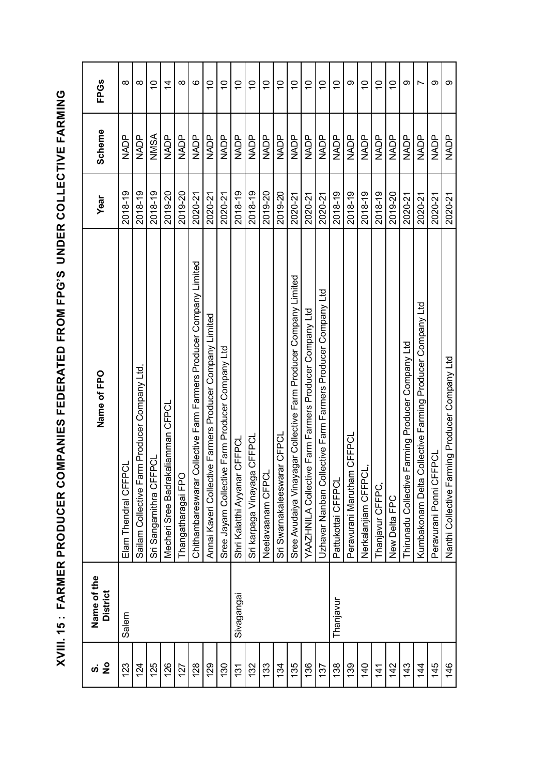| $\frac{1}{2}$<br>ທ່ | Name of the<br><b>District</b> | Name of FPO                                                           | Year    | <b>Scheme</b> | <b>FPGs</b>    |
|---------------------|--------------------------------|-----------------------------------------------------------------------|---------|---------------|----------------|
| 123                 | Salem                          | ರ<br>Elam Thendral CFFP                                               | 2018-19 | NADP          | $\infty$       |
| 124                 |                                | rm Producer Company Ltd,<br>Sailam Collective Fa                      | 2018-19 | <b>NADP</b>   | $\infty$       |
| 125                 |                                | i<br>S<br>Sri Sangamithra CFF                                         | 2018-19 | MSNN          | $\tilde{=}$    |
| 126                 |                                | Mecheri Sree Badrakaliamman CFPCL                                     | 2019-20 | NADP          | $\overline{4}$ |
| 127                 |                                | Thangatharagai FPO                                                    | 2019-20 | <b>NADP</b>   | $\infty$       |
| 128                 |                                | Collective Farm Farmers Producer Company Limited<br>Chithambareswarar | 2020-21 | <b>NADP</b>   | ဖ              |
| 129                 |                                | Annai Kaveri Collective Farmers Producer Company Limited              | 2020-21 | <b>NADP</b>   | $\overline{C}$ |
| 130                 |                                | e Farm Producer Company Ltd<br>Sree Jayam Collectiv                   | 2020-21 | NADP          | $\overline{C}$ |
| 131                 | Sivagangai                     | <b>CFFPCL</b><br>Shri Kalatthi Ayyanar                                | 2018-19 | <b>NADP</b>   | $\overline{C}$ |
| 132                 |                                | Sri karpaga Vinayaga CFFPCL                                           | 2018-19 | NADP          | $\overline{C}$ |
| 133                 |                                | Neelavaanam CFPCI                                                     | 2019-20 | <b>NADP</b>   | $\overline{C}$ |
| 134                 |                                | rar CFPCL<br>Sri Swarnakaleeswa                                       | 2019-20 | <b>NADP</b>   | $\overline{C}$ |
| 135                 |                                | agar Collective Farm Producer Company Limited<br>Sree Avudaiya Vinay  | 2020-21 | NADP<br>Z     | $\overline{C}$ |
| 136                 |                                | e Farm Farmers Producer Company Ltd<br>YAAZHNILA Collectiv            | 2020-21 | <b>NADP</b>   | $\overline{C}$ |
| 137                 |                                | lective Farm Farmers Producer Company Ltd<br>Uzhavar Nanban Col       | 2020-21 | <b>NADP</b>   | $\overline{C}$ |
| 138                 | Thanjavur                      | Pattukottai CFFPCL                                                    | 2018-19 | <b>NADP</b>   | $\overline{C}$ |
| 139                 |                                | Peravurani Marutham CFFPCL                                            | 2018-19 | NADP          | တ              |
| $\frac{40}{5}$      |                                | Nerkalanjiam CFFPCL,                                                  | 2018-19 | NADP<br>Z     | $\overline{0}$ |
| $\frac{4}{1}$       |                                | Thanjavur CFFPC,                                                      | 2018-19 | <b>NADP</b>   | $\overline{C}$ |
| 142                 |                                | New Delta FPC                                                         | 2019-20 | <b>NADP</b>   | $\overline{C}$ |
| 143                 |                                | Farming Producer Company Ltd<br>Thirunadu Collective                  | 2020-21 | <b>NADP</b>   | တ              |
| 14                  |                                | Collective Farming Producer Company Ltd<br>Kumbakonam Delta           | 2020-21 | NADP          | $\overline{ }$ |
| 145                 |                                | Peravurani Ponni CFFPCL                                               | 2020-21 | NADP          | တ              |
| 146                 |                                | Nanthi Collective Farming Producer Company Ltd                        | 2020-21 | <b>NADP</b>   | တ              |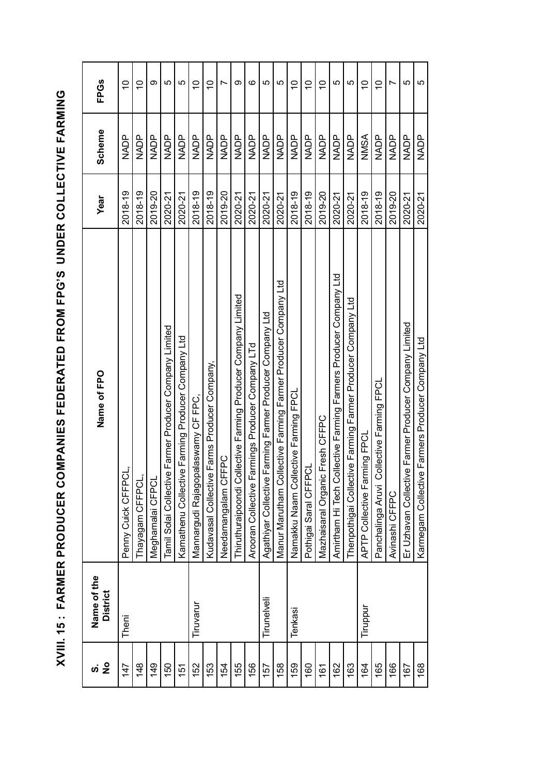| $\frac{1}{2}$<br>ທ່ | Name of the<br><b>District</b> | Name of FPO                                                      | Year    | <b>Scheme</b> | <b>FPGs</b>    |
|---------------------|--------------------------------|------------------------------------------------------------------|---------|---------------|----------------|
| 147                 | Theni                          | Penny Cuick CFFPCI                                               | 2018-19 | NADP<br>Z     | $\tilde{a}$    |
| 148                 |                                | Thayagam CFFPCL,                                                 | 2018-19 | <b>NADP</b>   | $\overline{0}$ |
| 149                 |                                | Meghamalai CFPCL                                                 | 2019-20 | <b>NADP</b>   | ග              |
| 150                 |                                | Tamil Solai Collective Farmer Producer Company Limited           | 2020-21 | <b>NADP</b>   | LO             |
| 151                 |                                | Kamathenu Collective Farming Producer Company Ltd                | 2020-21 | NADP          | 5              |
| 152                 | Tiruvarur                      | Mannargudi Rajagopalaswamy CF FPC,                               | 2018-19 | <b>NADP</b>   | $\overline{C}$ |
| 153                 |                                | Farms Producer Company,<br>Kudavasal Collective                  | 2018-19 | <b>NADP</b>   | $\overline{0}$ |
| 154                 |                                | Needamangalam CFFPC                                              | 2019-20 | NADP          |                |
| 155                 |                                | Thiruthuraipoondi Collective Farming Producer Company Limited    | 2020-21 | NADP          | ග              |
| 156                 |                                | Arooran Collective Farmings Producer Company LTd                 | 2020-21 | <b>NADP</b>   | ဖ              |
| 157                 | Tirunelveli                    | Farming Farmer Producer Company Ltd<br>Agathiyar Collective      | 2020-21 | NADP          | LO             |
| 158                 |                                | Manur Marutham Collective Farming Farmer Producer Company Ltd    | 2020-21 | <b>NADP</b>   | 5              |
| 159                 | Tenkasi                        | Namakku Naam Collective Farming FPCI                             | 2018-19 | NADP          | $\overline{0}$ |
| 160                 |                                | Pothigai Saral CFFPCL                                            | 2018-19 | <b>NADP</b>   | $\overline{0}$ |
| 161                 |                                | Mazhaisaral Organic Fresh CFFPC                                  | 2019-20 | <b>NADP</b>   | $\overline{C}$ |
| 162                 |                                | Amirtham Hi Tech Collective Farming Farmers Producer Company Ltd | 2020-21 | <b>NADP</b>   | 5              |
| 163                 |                                | Thenpothigai Collective Farming Farmer Producer Company Ltd      | 2020-21 | <b>NADP</b>   | 5              |
| 164                 | Tiruppur                       | APTP Collective Farming FPCL                                     | 2018-19 | NSANSA        | $\overline{0}$ |
| 165                 |                                | Panchalinga Aruvi Collective Farming FPCL                        | 2018-19 | <b>NADP</b>   | $\overline{C}$ |
| 166                 |                                | Avinashi CFFPC                                                   | 2019-20 | <b>NADP</b>   | ↖              |
| 167                 |                                | Er Uzhavan Collective Farmer Producer Company Limited            | 2020-21 | NADP          | LO             |
| 168                 |                                | Karmegam Collective Farmers Producer Company Ltd                 | 2020-21 | NADP          | 5              |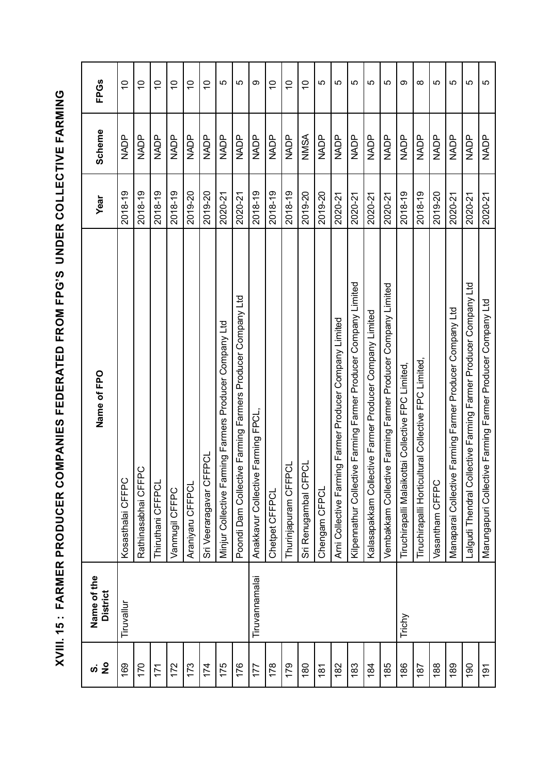| $\tilde{\mathbf{z}}$<br>ທ່ | Name of the<br>District | Name of FPO                                                          | Year    | Scheme      | <b>FPGs</b>               |
|----------------------------|-------------------------|----------------------------------------------------------------------|---------|-------------|---------------------------|
| 169                        | Tiruvallur              | Kosasthalai CFFPC                                                    | 2018-19 | NADP        | $\overline{C}$            |
| 170                        |                         | $\circ$<br>Rathinasabhai CFFP                                        | 2018-19 | <b>NADP</b> | $\overline{C}$            |
| 171                        |                         | Thiruthani CFFPCL                                                    | 2018-19 | NADP        | $\overline{C}$            |
| 172                        |                         | Vanmugil CFFPC                                                       | 2018-19 | <b>NADP</b> | $\overline{C}$            |
| 173                        |                         | Araniyaru CFFPCL                                                     | 2019-20 | <b>NADP</b> | $\overline{C}$            |
| 174                        |                         | Sri Veeraragavar CFFPCL                                              | 2019-20 | NADP        | $\overline{C}$            |
| 175                        |                         | Minjur Collective Farming Farmers Producer Company Ltd               | 2020-21 | <b>NADP</b> | 5                         |
| 176                        |                         | Poondi Dam Collective Farming Farmers Producer Company Ltd           | 2020-21 | <b>NADP</b> | 5                         |
| 177                        | Tiruvannamalai          | Farming FPCL<br>Anakkavur Collective                                 | 2018-19 | <b>NADP</b> | ω                         |
| 178                        |                         | Chetpet CFFPCL                                                       | 2018-19 | <b>NADP</b> | $\widetilde{\phantom{a}}$ |
| 179                        |                         | ರ<br>Thurinjapuram CFFP                                              | 2018-19 | NADP        | $\overline{C}$            |
| 180                        |                         | Sri Renugambal CFPCL                                                 | 2019-20 | NMSA        | $\overline{C}$            |
| 181                        |                         | Chengam CFPCL                                                        | 2019-20 | <b>NADP</b> | 5                         |
| 182                        |                         | Arni Collective Farming Farmer Producer Company Limited              | 2020-21 |             | ပ                         |
| 183                        |                         | Kilpennathur Collective Farming Farmer Producer Company Limited      | 2020-21 | <b>NADP</b> | LO.                       |
| 184                        |                         | Kalasapakkam Collective Farmer Producer Company Limited              | 2020-21 | NADP<br>Z   | 5                         |
| 185                        |                         | Vembakkam Collective Farming Farmer Producer Company Limited         | 2020-21 | NADP        | 5                         |
| 186                        | Trichy                  | Tiruchirapalli Malaikottai Collective FPC Limited,                   | 2018-19 | <b>NADP</b> | တ                         |
| 187                        |                         | Tiruchirapalli Horticultural Collective FPC Limited,                 | 2018-19 | <b>NADP</b> | $\infty$                  |
| 188                        |                         | Vasantham CFFPC                                                      | 2019-20 | <b>NADP</b> | LO                        |
| 189                        |                         | Farming Farmer Producer Company Ltd<br>Manaparai Collective          | 2020-21 | <b>NADP</b> | 5                         |
| 190                        |                         | lective Farming Farmer Producer Company Ltd<br>Lalgudi Thendral Coll | 2020-21 | <b>NADP</b> | LO.                       |
| 191                        |                         | Marungapuri Collective Farming Farmer Producer Company Ltd           | 2020-21 | <b>NADP</b> | 5                         |